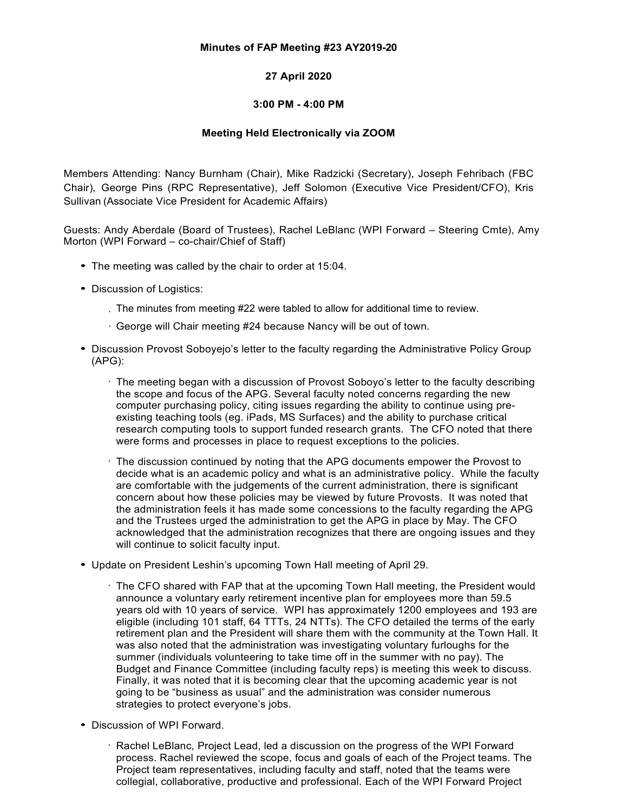## **Minutes of FAP Meeting #23 AY2019-20**

## **27 April 2020**

## **3:00 PM - 4:00 PM**

## **Meeting Held Electronically via ZOOM**

Members Attending: Nancy Burnham (Chair), Mike Radzicki (Secretary), Joseph Fehribach (FBC Chair), George Pins (RPC Representative), Jeff Solomon (Executive Vice President/CFO), Kris Sullivan (Associate Vice President for Academic Affairs)

Guests: Andy Aberdale (Board of Trustees), Rachel LeBlanc (WPI Forward – Steering Cmte), Amy Morton (WPI Forward – co-chair/Chief of Staff)

- *•* The meeting was called by the chair to order at 15:04.
- *•* Discussion of Logistics:
	- The minutes from meeting #22 were tabled to allow for additional time to review. *·*
	- George will Chair meeting #24 because Nancy will be out of town. *·*
- *•* Discussion Provost Soboyejo's letter to the faculty regarding the Administrative Policy Group (APG):
	- *·* The meeting began with a discussion of Provost Soboyo's letter to the faculty describing the scope and focus of the APG. Several faculty noted concerns regarding the new computer purchasing policy, citing issues regarding the ability to continue using preexisting teaching tools (eg. iPads, MS Surfaces) and the ability to purchase critical research computing tools to support funded research grants. The CFO noted that there were forms and processes in place to request exceptions to the policies.
	- *·* The discussion continued by noting that the APG documents empower the Provost to decide what is an academic policy and what is an administrative policy. While the faculty are comfortable with the judgements of the current administration, there is significant concern about how these policies may be viewed by future Provosts. It was noted that the administration feels it has made some concessions to the faculty regarding the APG and the Trustees urged the administration to get the APG in place by May. The CFO acknowledged that the administration recognizes that there are ongoing issues and they will continue to solicit faculty input.
- *•* Update on President Leshin's upcoming Town Hall meeting of April 29.
	- The CFO shared with FAP that at the upcoming Town Hall meeting, the President would announce a voluntary early retirement incentive plan for employees more than 59.5 years old with 10 years of service. WPI has approximately 1200 employees and 193 are eligible (including 101 staff, 64 TTTs, 24 NTTs). The CFO detailed the terms of the early retirement plan and the President will share them with the community at the Town Hall. It was also noted that the administration was investigating voluntary furloughs for the summer (individuals volunteering to take time off in the summer with no pay). The Budget and Finance Committee (including faculty reps) is meeting this week to discuss. Finally, it was noted that it is becoming clear that the upcoming academic year is not going to be "business as usual" and the administration was consider numerous strategies to protect everyone's jobs.
- *•* Discussion of WPI Forward.
	- *·* Rachel LeBlanc, Project Lead, led a discussion on the progress of the WPI Forward process. Rachel reviewed the scope, focus and goals of each of the Project teams. The Project team representatives, including faculty and staff, noted that the teams were collegial, collaborative, productive and professional. Each of the WPI Forward Project